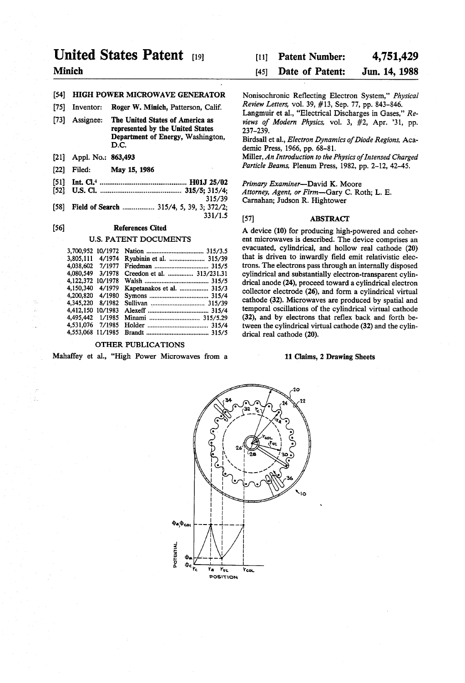# United States Patent (19)

# Minich

# (54) HIGH POWER MICROWAVE GENERATOR

- 75) Inventor: Roger W. Minich, Patterson, Calif.
- [73] Assignee: The United States of America as represented by the United States Department of Energy, Washington, D.C.
- [21] Appl. No.: 863,493
- 22 Filed: May 15, 1986
- 5ll Int. Cl'.............................................. H01J 25/02
	- 52 U.S. Cl. ........................................... 315/5; 315/4; 315/39
- [58] Field of Search .................. 315/4, 5, 39, 3; 372/2; 331/15

# (56) References Cited

### U.S. PATENT DOCUMENTS

| 3,700,952 10/1972 |        |                            |  |
|-------------------|--------|----------------------------|--|
| 3,805,111         | 4/1974 | Ryabinin et al.  315/39    |  |
| 4.038.602         | 7/1977 |                            |  |
| 4.080.549         | 3/1978 | Creedon et al.  313/231.31 |  |
| 4.122.372 10/1978 |        |                            |  |
| 4.150.340         | 4/1979 | Kapetanakos et al.  315/3  |  |
| 4.200.820         | 4/1980 |                            |  |
| 4.345.220         | 8/1982 |                            |  |
| 4.412.150 10/1983 |        |                            |  |
| 4.495.442         | 1/1985 |                            |  |
| 4.531.076 7/1985  |        |                            |  |
| 4.553.068 11/1985 |        |                            |  |

# OTHER PUBLICATIONS

Mahaffey et al., "High Power Microwaves from a

#### 4,751,429 [11] Patent Number:

#### Jun. 14, 1988 [45] Date of Patent:

Nonisochronic Reflecting Electron System," Physical Review Letters, vol.39, #13, Sep. 77, pp. 843-846.

Langmuir et al., "Electrical Discharges in Gases," Re views of Modern Physics, vol. 3, #2, Apr. '31, pp. 237-239.

Birdsall et al., Electron Dynamics of Diode Regions, Aca demic Press, 1966, pp. 68-81.

Miller, An Introduction to the Physics of Intensed Charged Particle Beams, Plenum Press, 1982, pp. 2-12, 42-45.

Primary Examiner-David K. Moore Attorney, Agent, or Firm-Gary C. Roth; L. E. Carnahan; Judson R. Hightower

# [57] **ABSTRACT**

A device (10) for producing high-powered and coher ent microwaves is described. The device comprises an evacuated, cylindrical, and hollow real cathode (20) that is driven to inwardly field emit relativistic electrons. The electrons pass through an internally disposed cylindrical and substantially electron-transparent cylindrical anode (24), proceed toward a cylindrical electron collector electrode (26), and form a cylindrical virtual cathode (32). Microwaves are produced by spatial and temporal oscillations of the cylindrical virtual cathode (32), and by electrons that reflex back and forth be tween the cylindrical virtual cathode (32) and the cylin drical real cathode (20).

### 11 Claims, 2 Drawing Sheets

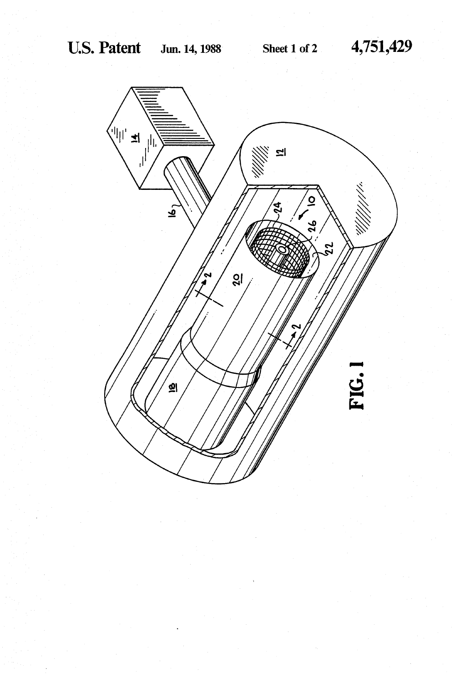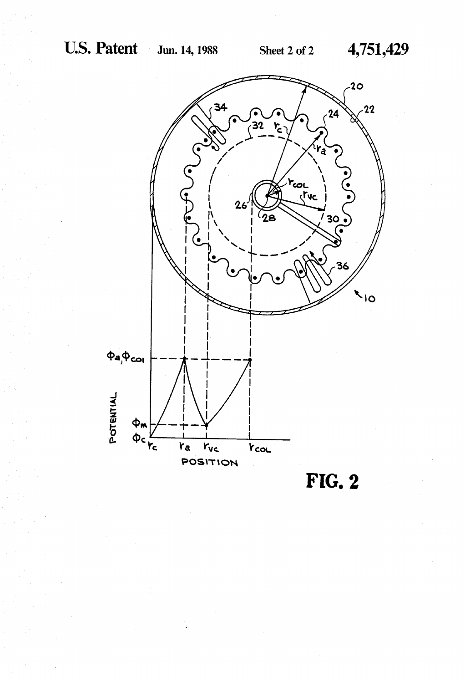

 $FIG. 2$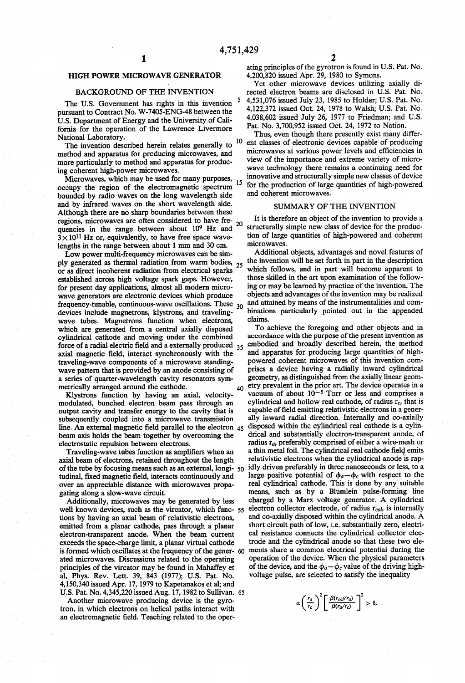# HIGH POWER MICROWAVE GENERATOR

# BACKGROUND OF THE INVENTION

The U.S. Government has rights in this invention pursuant to Contract No. W-7405-ENG-48 between the U.S. Department of Energy and the University of Cali fornia for the operation of the Lawrence Livermore National Laboratory.

The invention described herein relates generally to <sup>10</sup> method and apparatus for producing microwaves, and ing coherent high-power microwaves.

Microwaves, which may be used for many purposes, 15 occupy the region of the electromagnetic spectrum bounded by radio waves on the long wavelength side and by infrared waves on the short wavelength side. Although there are no sharp boundaries between these quencies in the range between about 10<sup>9</sup> Hz and  $3 \times 10^{11}$  Hz or, equivalently, to have free space wavelengths in the range between about 1 mm and 30 cm. regions, microwaves are often considered to have fre- 20

Low power multi-frequency microwaves can be sim ply generated as thermal radiation from warm bodies, <sub>25</sub> or as direct incoherent radiation from electrical sparks established across high voltage spark gaps. However, for present day applications, almost all modern micro wave generators are electronic devices which produce frequency-tunable, continuous-wave oscillations. These  $_{30}$ devices include magnetrons, klystrons, and traveling-<br>wave tubes. Magnetrons function when electrons, which are generated from a central axially disposed cylindrical cathode and moving under the combined axial magnetic field, interact synchronously with the traveling-wave components of a microwave standing wave pattern that is provided by an anode consisting of a series of quarter-wavelength cavity resonators sym metrically arranged around the cathode. force of a radial electric field and a externally produced  $35$ 

Klystrons function by having an axial, velocity modulated, bunched electron beam pass through an output cavity and transfer energy to the cavity that is subsequently coupled into a microwave transmission line. An external magnetic field parallel to the electron 45 beam axis holds the beam together by overcoming the electrostatic repulsion between electrons.

Traveling-wave tubes function as amplifiers when an axial beam of electrons, retained throughout the length<br>of the tube by focusing means such as an external, longi-<br>tudinal, fixed magnetic field, interacts continuously and over an appreciable distance with microwaves propagating along a slow-wave circuit.

Additionally, microwaves may be generated by less well known devices, such as the vircator, which func- 55 tions by having an axial beam of relativistic electrons, emitted from a planar cathode, pass through a planar electron-transparent anode. When the beam current exceeds the space-charge limit, a planar virtual cathode is formed which oscillates at the frequency of the gener-60 ated microwaves. Discussions related to the operating principles of the vircator may be found in Mahaffey et al, Phys. Rev. Lett. 39, 843 (1977); U.S. Pat. No. 4,150,340 issued Apr. 17, 1979 to Kapetanakos et al; and U.S. Pat. No. 4,345,220 issued Aug. 17, 1982 to Sullivan. 65

Another microwave producing device is the gyro tron, in which electrons on helical paths interact with an electromagnetic field. Teaching related to the oper ating principles of the gyrotron is found in U.S. Pat. No. 4,200,820 issued Apr. 29, 1980 to Symons.

Yet other microwave devices utilizing axially di rected electron beams are disclosed in U.S. Pat. No. 4,531,076 issued July 23, 1985 to Holder; U.S. Pat. No. 4,122,372 issued Oct. 24, 1978 to Walsh; U.S. Pat. No. 4,038,602 issued July 26, 1977 to Friedman; and U.S. Pat. No. 3,700,952 issued Oct. 24, 1972 to Nation.

Thus, even though there presently exist many different classes of electronic devices capable of producing microwaves at various power levels and efficiencies in view of the importance and extreme variety of micro wave technology there remains a continuing need for innovative and structurally simple new classes of device for the production of large quantities of high-powered and coherent microwaves.

#### SUMMARY OF THE INVENTION

It is therefore an object of the invention to provide a structurally simple new class of device for the production of large quantities of high-powered and coherent microwaves.

Additional objects, advantages and novel features of the invention will be set forth in part in the description which follows, and in part will become apparent to those skilled in the art upon examination of the follow ing or may be learned by practice of the invention. The objects and advantages of the invention may be realized and attained by means of the instrumentalities and con binations particularly pointed out in the appended claims.

40 50 To achieve the foregoing and other objects and in accordance with the purpose of the present invention as embodied and broadly described herein, the method and apparatus for producing large quantities of high-<br>powered coherent microwaves of this invention comprises a device having a radially inward cylindrical geometry, as distinguished from the axially linear geom etry prevalent in the prior art. The device operates in a vacuum of about  $10^{-5}$  Torr or less and comprises a cylindrical and hollow real cathode, of radius  $r_c$ , that is capable of field emitting relativistic electrons in a generally inward radial direction. Internally and co-axially<br>disposed within the cylindrical real cathode is a cylin-<br>drical and substantially electron-transparent anode, of radius ra, preferably comprised of either a wire-mesh or a thin metal foil. The cylindrical real cathode field emits idly driven preferably in three nanoseconds or less, to a large positive potential of  $\phi_a - \phi_c$  with respect to the real cylindrical cathode. This is done by any suitable means, such as by a Blumlein pulse-forming line charged by a Marx voltage generator. A cylindrical electron collector electrode, of radius  $r_{col}$ , is internally and co-axially disposed within the cylindrical anode. A short circuit path of low, i.e. substantially zero, electri cal resistance connects the cylindrical collector elec trode and the cylindrical anode so that these two ele ments share a common electrical potential during the operation of the device. When the physical parameters<br>of the device, and the  $\phi_a - \phi_c$  value of the driving highvoltage pulse, are selected to satisfy the inequality

 $\alpha \left(\frac{r_a}{r_c}\right)^2 \left[ \frac{\beta(r_{col}/r_a)}{\beta(r_a/r_c)} \right] > 8,$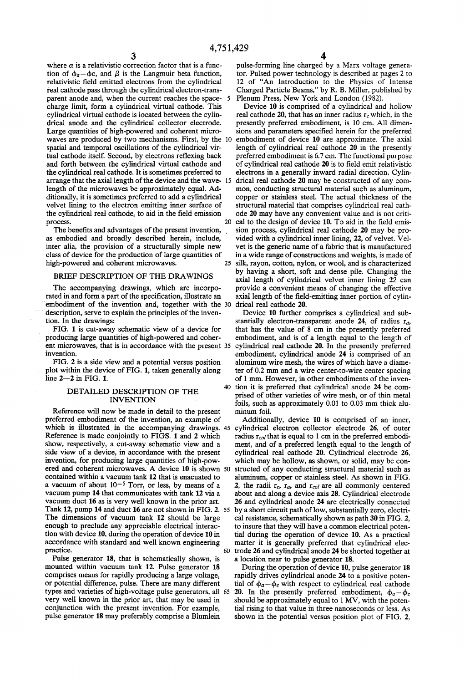where  $\alpha$  is a relativistic correction factor that is a function of  $\phi_a - \phi_c$ , and  $\beta$  is the Langmuir beta function, relativistic field emitted electrons from the cylindrical real cathode pass through the cylindrical electron-transparent anode and, when the current reaches the spacecharge limit, form a cylindrical virtual cathode. This drical anode and the cylindrical collector electrode. Large quantities of high-powered and coherent micro waves are produced by two mechanisms. First, by the 10 spatial and temporal oscillations of the cylindrical vir tual cathode itself. Second, by electrons reflexing back and forth between the cylindrical virtual cathode and the cylindrical real cathode. It is sometimes preferred to arrange that the axial length of the device and the wave- 15 length of the microwaves be approximately equal. Ad ditionally, it is sometimes preferred to add a cylindrical velvet lining to the electron emitting inner surface of the cylindrical real cathode, to aid in the field emission<br>process. process.

The benefits and advantages of the present invention, as embodied and broadly described herein, include, inter alia, the provision of a structurally simple new class of device for the production of large quantities of high-powered and coherent microwaves. 25

## BRIEF DESCRIPTION OF THE DRAWINGS

The accompanying drawings, which are incorpo rated in and form a part of the specification, illustrate an embodiment of the invention and, together with the 30 description, serve to explain the principles of the inven tion. In the drawings:

FIG. 1 is cut-away schematic view of a device for producing large quantities of high-powered and coher ent microwaves, that is in accordance with the present 35 cylindrical real cathode 20. In the presently preferred

invention.<br>FIG. 2 is a side view and a potential versus position plot within the device of FIG. 1, taken generally along line 2-2 in FIG. 1.

### DETAILED DESCRIPTION OF THE INVENTION

Reference will now be made in detail to the present preferred embodiment of the invention, an example of which is illustrated in the accompanying drawings. 45 Reference is made conjointly to FIGS. 1 and 2 which show, respectively, a cut-away schematic view and a side view of a device, in accordance with the present invention, for producing large quantities of high-powered and coherent microwaves. A device 10 is shown 50 contained within a vacuum tank 12 that is enacuated to a vacuum of about  $10^{-5}$  Torr, or less, by means of a vacuum pump 14 that communicates with tank 12 via a vacuum duct 16 as is very well known in the prior art. Tank 12, pump 14 and duct 16 are not shown in FIG. 2. 55 The dimensions of vacuum tank 12 should be large enough to preclude any appreciable electrical interac tion with device 10, during the operation of device 10 in accordance with standard and well known engineering practice. 60

Pulse generator 18, that is schematically shown, is mounted within vacuum tank 12. Pulse generator 18 comprises means for rapidly producing a large voltage, or potential difference, pulse. There are many different types and varieties of high-voltage pulse generators, all 65 very well known in the prior art, that may be used in pulse generator 18 may preferably comprise a Blumlein

pulse-forming line charged by a Marx voltage genera tor. Pulsed power technology is described at pages 2 to 12 of "An Introduction to the Physics of Intense Charged Particle Beams," by R. B. Miller, published by Plenum Press. New York and London (1982).

Device 10 is comprised of a cylindrical and hollow real cathode 20, that has an inner radius  $r_c$  which, in the presently preferred embodiment, is 10 cm. All dimen sions and parameters specified herein for the preferred embodiment of device 10 are approximate. The axial length of cylindrical real cathode 20 in the presently preferred embodiment is 6.7 cm. The functional purpose of cylindrical real cathode 20 is to field emit relativistic electrons in a generally inward radial direction. Cylindrical real cathode 20 may be constructed of any common, conducting structural material such as aluminum, copper or stainless steel. The actual thickness of the structural material that comprises cylindrical real cath ode 20 may have any convenient value and is not criti cal to the design of device 10. To aid in the field emission process, cylindrical real cathode 20 may be provided with a cylindrical inner lining, 22, of velvet. Velvet is the generic name of a fabric that is manufactured in a wide range of constructions and weights, is made of silk, rayon, cotton, nylon, or wool, and is characterized by having a short, soft and dense pile. Changing the axial length of cylindrical velvet inner lining 22 can provide a convenient means of changing the effective axial length of the field-emitting inner portion of cylin drical real cathode 20.

Device 10 further comprises a cylindrical and sub stantially electron-transparent anode 24, of radius  $r_a$ , that has the value of 8 cm in the presently preferred embodiment, and is of a length equal to the length of embodiment, cylindrical anode 24 is comprised of an aluminum wire mesh, the wires of which have a diame ter of 0.2 mm and a wire center-to-wire center spacing of 1 mm. However, in other embodiments of the inven 40 tion it is preferred that cylindrical anode 24 be comprised of other varieties of wire mesh, or of thin metal foils, such as approximately 0.01 to 0.03 mm thick alu minum foil.

Additionally, device 10 is comprised of an inner, cylindrical electron collector electrode 26, of outer radius  $r_{col}$  that is equal to 1 cm in the preferred embodiment, and of a preferred length equal to the length of cylindrical real cathode 20. Cylindrical electrode 26, which may be hollow, as shown, or solid, may be con structed of any conducting structural material such as aluminum, copper or stainless steel. As shown in FIG. 2, the radii  $r_c$ ,  $r_a$ , and  $r_{col}$  are all commonly centered about and along a device axis 28. Cylindrical electrode 26 and cylindrical anode 24 are electrically connected by a short circuit path of low, substantially zero, electri cal resistance, schematically shown as path 30 in FIG. 2, to insure that they will have a common electrical potential during the operation of device 10. As a practical matter it is generally preferred that cylindrical elec trode 26 and cylindrical anode 24 be shorted together at a location near to pulse generator 18.

During the operation of device 10, pulse generator 18 rapidly drives cylindrical anode 24 to a positive potential of  $\phi_a - \phi_c$  with respect to cylindrical real cathode 20. In the presently preferred embodiment,  $\phi_a - \phi_c$  should be approximately equal to 1 MV, with the potential rising to that value in three nanoseconds or less. As shown in the potential versus position plot of FIG. 2,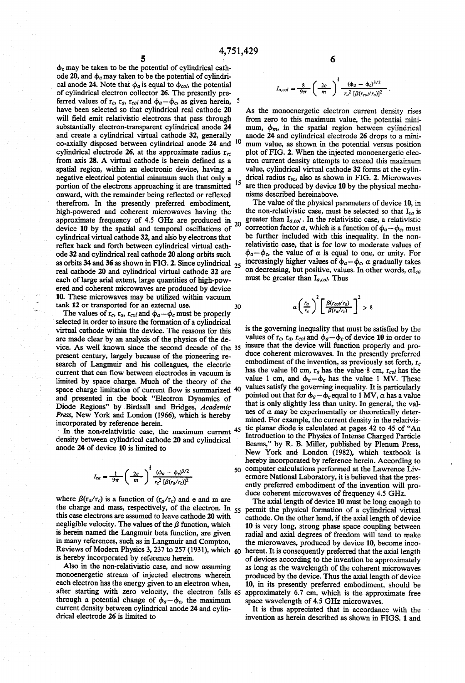$\phi_c$  may be taken to be the potential of cylindrical cath-<br>ode 20, and  $\phi_a$  may taken to be the potential of cylindrical anode 24. Note that  $\phi_a$  is equal to  $\phi_{col}$ , the potential of cylindrical electron collector 26. The presently pre-<br>ferred values of r. r. r. u and  $\phi_{\text{a}}$  as given berein. ferred values of  $r_c$ ,  $r_a$ ,  $r_{col}$  and  $\phi_a - \phi_c$ , as given herein, have been selected so that cylindrical real cathode 20 will field emit relativistic electrons that pass through substantially electron-transparent cylindrical anode 24 and create a cylindrical virtual cathode 32, generally co-axially disposed between cylindrical anode 24 and cylindrical electrode 26, at the approximate radius  $r_{vc}$ from axis 28. A virtual cathode is herein defined as a spatial region, within an electronic device, having a negative electrical potential minimum such that only a portion of the electrons approaching it are transmitted onward, with the remainder being reflected or reflexed high-powered and coherent microwaves having the approximate frequency of 4.5 GHz are produced in  $_{20}$ <br>device 40 by the restial and terms of assillations of 20 device 10 by the spatial and temporal oscillations of cylindrical virtual cathode 32, and also by electrons that reflex back and forth between cylindrical virtual cath ode 32 and cylindrical real cathode 20 along orbits such as orbits 34 and 36 as shown in FIG. 2. Since cylindrical real cathode 20 and cylindrical virtual cathode 32 are each of large arial extent, large quantities of high-pow ered and coherent microwaves are produced by device 10. These microwaves may be utilized within vacuum tank 12 or transported for an external use.<br>The values of  $r_c$ ,  $r_a$ ,  $r_{col}$  and  $\phi_a - \phi_c$  must be properly 15 25 30

selected in order to insure the formation of a cylindrical virtual cathode within the device. The reasons for this are made clear by an analysis of the physics of the de vice. As well known since the second decade of the 35 present century, largely because of the pioneering re search of Langmuir and his colleagues, the electric current that can flow between electrodes in vacuum is limited by space charge. Much of the theory of the space charge limitation of current flow is summarized 40 and presented in the book "Electron Dynamics of Diode Regions" by Birdsall and Bridges, Academic Press, New York and London (1966), which is hereby incorporated by reference herein.

In the non-relativistic case, the maximum current <sup>45</sup> density between cylindrical cathode 20 and cylindrical anode 24 of device 10 is limited to

$$
I_{ca} = \frac{1}{9\pi} \left(\frac{2e}{m}\right)^{\frac{1}{2}} \frac{(\phi_a - \phi_c)^{3/2}}{r_c^2 \left[\beta(r_a/r_c)\right]^2}
$$

where  $\beta(r_a/r_c)$  is a function of  $(r_a/r_c)$  and e and m are the charge and mass, respectively, of the electron. In  $_{55}$ this case electrons are assumed to leave cathode 20 with negligible velocity. The values of the  $\beta$  function, which<br>is herein named the Langmuir beta function, are given in many references, such as in Langmuir and Compton, Reviews of Modern Physics 3, 237 to 257 (1931), which  $60$ 

is hereby incorporated by reference herein.<br>Also in the non-relativistic case, and now assuming monoenergetic stream of injected electrons wherein each electron has the energy given to an electron when, each electron has the energy given to an electron when, after starting with zero velocity, the electron falls 65 through a potential change of  $\phi_a-\phi_c$ , the maximum current density between cylindrical anode 24 and cylin drical electrode 26 is limited to

$$
I_{a,col} = \frac{8}{9\pi} \left(\frac{2e}{m}\right)^{\frac{1}{2}} \frac{(\phi_a - \phi_c)^{3/2}}{r_a^2 \left[\beta(r_{col}/r_a)\right]^2} \ .
$$

<sup>10</sup> mum value, as shown in the potential versus position As the monoenergetic electron current density rises from zero to this maximum value, the potential minimum,  $\phi_m$ , in the spatial region between cylindrical anode 24 and cylindrical electrode 26 drops to a miniplot of FIG. 2. When the injected monoenergetic electron current density attempts to exceed this maximum value, cylindrical virtual cathode 32 forms at the cylindrical radius  $r_{vc}$ , also as shown in FIG. 2. Microwaves are then produced by device 10 by the physical mecha nisms described hereinabove.

The value of the physical parameters of device 10, in the non-relativistic case, must be selected so that  $I_{ca}$  is greater than  $I_{a,col}$ . In the relativistic case, a relativistic correction factor  $\alpha$ , which is a function of  $\phi_a-\phi_c$ , must be further included with this inequality. In the non relativistic case, that is for low to moderate values of  $\phi_a-\phi_c$ , the value of  $\alpha$  is equal to one, or unity. For increasingly higher values of  $\phi_a-\phi_c$ ,  $\alpha$  gradually takes on decreasing, but positive, values. In other words,  $\alpha I_{ca}$ must be greater than  $I_{a, col}$ . Thus

$$
\alpha \left(\frac{r_a}{r_c}\right)^2 \left[\frac{\beta(r_{col}/r_a)}{\beta(r_a/r_c)}\right]^2 > 8
$$

50 computer calculations performed at the Lawrence Liver ermore National Laboratory, it is believed that the presis the governing inequality that must be satisfied by the values of  $r_c$ ,  $r_{ca}$ ,  $r_{col}$  and  $\phi_a - \phi_c$  of device 10 in order to insure that the device will function properly and produce coherent microwaves. In the presently preferred embodiment of the invention, as previously set forth,  $r_c$ has the value 10 cm,  $r_a$  has the value 8 cm,  $r_{col}$  has the value 1 cm, and  $\phi_a - \phi_c$  has the value 1 MV. These values satisfy the governing inequality. It is particularly pointed out that for  $\phi_a - \phi_c$  equal to 1 MV,  $\alpha$  has a value that is only slightly less than unity. In general, the val ues of  $\alpha$  may be experimentally or theoretically determined. For example, the current density in the relativis tic planar diode is calculated at pages 42 to 45 of "An Introduction to the Physics of Intense Charged Particle Beams,' by R. B. Miller, published by Plenum Press, New York and London (1982), which textbook is hereby incorporated by reference herein. According to computer calculations performed at the Lawrence Liv ently preferred embodiment of the invention will produce coherent microwaves of frequency 4.5 GHz.

The axial length of device 10 must be long enough to permit the physical formation of a cylindrical virtual cathode. On the other hand, if the axial length of device 10 is very long, strong phase space coupling between radial and axial degrees of freedom will tend to make the microwaves, produced by device 10, become incoherent. It is consequently preferred that the axial length of devices according to the invention be approximately as long as the wavelength of the coherent microwaves produced by the device. Thus the axial length of device 10, in its presently preferred embodiment, should be approximately 6.7 cm, which is the approximate free space wavelength of 4.5 GHz microwaves.

It is thus appreciated that in accordance with the invention as herein described as shown in FIGS. 1 and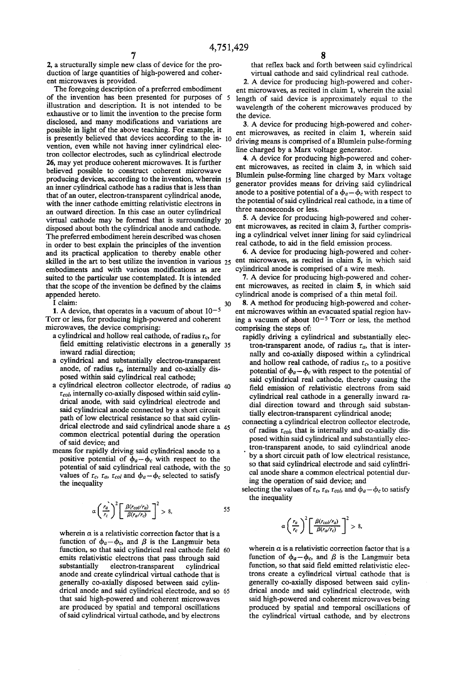2, a structurally simple new class of device for the production of large quantities of high-powered and coherent microwaves is provided.

The foregoing description of a preferred embodiment of the invention has been presented for purposes of 5 illustration and description. It is not intended to be exhaustive or to limit the invention to the precise form disclosed, and many modifications and variations are possible in light of the above teaching. For example, it is presently believed that devices according to the  $in$ -  $10$ vention, even while not having inner cylindrical elec tron collector electrodes, such as cylindrical electrode 26, may yet produce coherent microwaves. It is further believed possible to construct coherent microwave producing devices, according to the invention, wherein 15 an inner cylindrical cathode has a radius that is less than that of an outer, electron-transparent cylindrical anode, with the inner cathode emitting relativistic electrons in<br>an outward direction. In this case an outer cylindrical virtual cathode may be formed that is surroundingly  $_{20}$  disposed about both the cylindrical anode and cathode. The preferred embodiment herein described was chosen in order to best explain the principles of the invention and its practical application to thereby enable other skilled in the art to best utilize the invention in various 25 embodiments and with various modifications as are suited to the particular use contemplated. It is intended that the scope of the invention be defined by the claims appended hereto.

I claim:

1. A device, that operates in a vacuum of about  $10^{-5}$ Torr or less, for producing high-powered and coherent microwaves, the device comprising: 30

- a cylindrical and hollow real cathode, of radius  $r_c$ , for field emitting relativistic electrons in a generally 35 inward radial direction;
- a cylindrical and substantially electron-transparent anode, of radius  $r_a$ , internally and co-axially disposed within said cylindrical real cathode;
- a cylindrical electron collector electrode, of radius  $40$ <br>r<sub>col</sub>, internally co-axially disposed within said cylindrical anode, with said cylindrical electrode and said cylindrical anode connected by a short circuit path of low electrical resistance so that said cylinpath of low electrical resistance so that said cylindrical electrode and said cylindrical anode share a 45 common electrical potential during the operation of said device; and
- means for rapidly driving said cylindrical anode to a positive potential of  $\phi_a-\phi_c$  with respect to the potential of said cylindrical real cathode, with the 50 values of  $r_c$ ,  $r_a$ ,  $r_{col}$  and  $\phi_a - \phi_c$  selected to satisfy the inequality

$$
\alpha \left(\frac{r_a}{r_c}\right)^2 \left[\frac{\beta(r_{col}/r_a)}{\beta(r_a/r_c)}\right]^2 > 8, \tag{55}
$$

wherein  $\alpha$  is a relativistic correction factor that is a function of  $\phi_a-\phi_c$ , and  $\beta$  is the Langmuir beta function, so that said cylindrical real cathode field 60 emits relativistic electrons that pass through said substantially electron-transparent cylindrical anode and create cylindrical virtual cathode that is generally co-axially disposed between said cylingenerally co-axially disposed between said cylin-<br>drical anode and said cylindrical electrode, and so 65 that said high-powered and coherent microwaves are produced by spatial and temporal oscillations of said cylindrical virtual cathode, and by electrons

that reflex back and forth between said cylindrical virtual cathode and said cylindrical real cathode.

2. A device for producing high-powered and coher ent microwaves, as recited in claim 1, wherein the axial length of said device is approximately equal to the wavelength of the coherent microwaves produced by the device.

3. A device for producing high-powered and coher ent microwaves, as recited in claim 1, wherein said driving means is comprised of a Blumlein pulse-forming line charged by a Marx voltage generator.

4. A device for producing high-powered and coherent microwaves, as recited in claim 3, in which said Blumlein pulse-forming line charged by Marx voltage generator provides means for driving said cylindrical anode to a positive potential of a  $\phi_a - \phi_c$  with respect to the potential of said cylindrical real cathode, in a time of three nanoseconds or less.

5. A device for producing high-powered and coherent microwaves, as recited in claim 3, further comprising a cylindrical velvet inner lining for said cylindrical

real cathode, to aid in the field emission process. 6. A device for producing high-powered and coher ent microwaves, as recited in claim 5, in which said cylindrical anode is comprised of a wire mesh.

7. A device for producing high-powered and coher ent microwaves, as recited in claim 5, in which said cylindrical anode is comprised of a thin metal foil.

8. A method for producing high-powered and coher ent microwaves within an evacuated spatial region hav ing a vacuum of about  $10^{-5}$  Torr or less, the method comprising the steps of:

- rapidly driving a cylindrical and substantially elec tron-transparent anode, of radius  $r_a$ , that is internally and co-axially disposed within a cylindrical<br>and hollow real cathode, of radius  $r_c$ , to a positive potential of  $\phi_a - \phi_c$  with respect to the potential of said cylindrical real cathode, thereby causing the field emission of relativistic electrons from said cylindrical real cathode in a generally inward ra dial direction toward and through said substan tially electron-transparent cylindrical anode;
- connecting a cylindrical electron collector electrode, of radius  $r_{col}$ , that is internally and co-axially disposed within said cylindrical and substantially elec tron-transparent anode, to said cylindrical anode by a short circuit path of low electrical resistance, so that said cylindrical electrode and said cylindri cal anode share a common electrical potential dur ing the operation of said device; and
- selecting the values of  $r_c$ ,  $r_a$ ,  $r_{col}$ , and  $\phi_a \phi_c$  to satisfy the inequality

$$
\alpha \left(\frac{r_a}{r_c}\right)^2 \left[\frac{\beta(r_{col}/r_a)}{\beta(r_a/r_c)}\right]^2 > 8,
$$

wherein  $\alpha$  is a relativistic correction factor that is a function of  $\phi_a-\phi_c$ , and  $\beta$  is the Langmuir beta function, so that said field emitted relativistic elec trons create a cylindrical virtual cathode that is generally co-axially disposed between said cylin drical anode and said cylindrical electrode, with<br>said high-powered and coherent microwaves being produced by spatial and temporal oscillations of the cylindrical virtual cathode, and by electrons